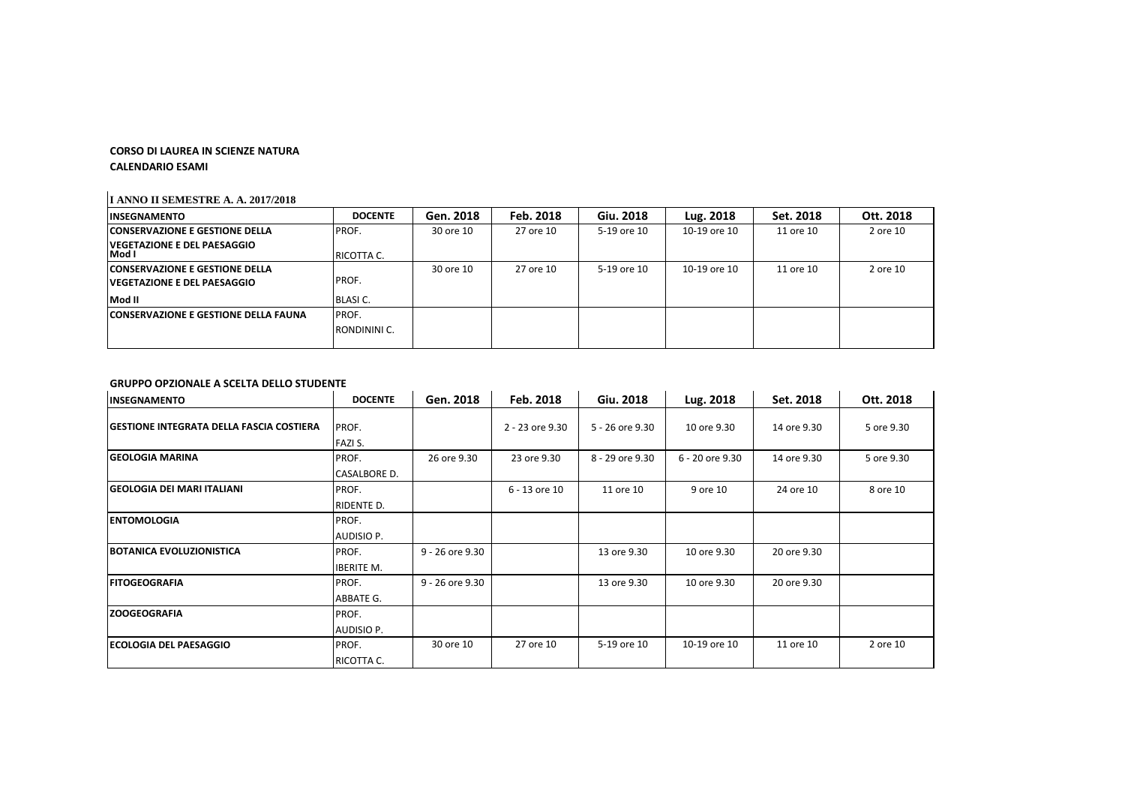## **CORSO DI LAUREA IN SCIENZE NATURA**

**CALENDARIO ESAMI**

## **I ANNO II SEMESTRE A. A. 2017/2018**

| 5-19 ore 10<br>10-19 ore 10<br>2 ore 10<br>11 ore 10 | Feb. 2018 | Gen. 2018 | <b>DOCENTE</b><br>IINSEGNAMENTO                            |
|------------------------------------------------------|-----------|-----------|------------------------------------------------------------|
|                                                      | 27 ore 10 | 30 ore 10 | PROF.<br><b>CONSERVAZIONE E GESTIONE DELLA</b>             |
|                                                      |           |           | <u>IVEGETAZIONE E DEL PAESAGGIO</u><br>Mod I<br>RICOTTA C. |
| 2 ore 10<br>5-19 ore 10<br>10-19 ore 10<br>11 ore 10 | 27 ore 10 | 30 ore 10 | <b>CONSERVAZIONE E GESTIONE DELLA</b>                      |
|                                                      |           |           | lVEGETAZIONE E DEL PAESAGGIO                               |
|                                                      |           |           | Mod II<br><b>BLASIC.</b>                                   |
|                                                      |           |           | <b>CONSERVAZIONE E GESTIONE DELLA FAUNA</b><br>PROF.       |
|                                                      |           |           | RONDININI C.                                               |
|                                                      |           |           | PROF.                                                      |

## **GRUPPO OPZIONALE A SCELTA DELLO STUDENTE**

| INSEGNAMENTO                                    | <b>DOCENTE</b>    | Gen. 2018       | Feb. 2018       | Giu. 2018       | Lug. 2018       | Set. 2018   | Ott. 2018  |
|-------------------------------------------------|-------------------|-----------------|-----------------|-----------------|-----------------|-------------|------------|
| <b>GESTIONE INTEGRATA DELLA FASCIA COSTIERA</b> | PROF.<br>FAZI S.  |                 | 2 - 23 ore 9.30 | 5 - 26 ore 9.30 | 10 ore 9.30     | 14 ore 9.30 | 5 ore 9.30 |
| <b>GEOLOGIA MARINA</b>                          | PROF.             | 26 ore 9.30     | 23 ore 9.30     | 8 - 29 ore 9.30 | 6 - 20 ore 9.30 | 14 ore 9.30 | 5 ore 9.30 |
|                                                 | CASALBORE D.      |                 |                 |                 |                 |             |            |
| <b>İGEOLOGIA DEI MARI ITALIANI</b>              | PROF.             |                 | 6 - 13 ore 10   | 11 ore 10       | 9 ore 10        | 24 ore 10   | 8 ore 10   |
|                                                 | RIDENTE D.        |                 |                 |                 |                 |             |            |
| <b>ENTOMOLOGIA</b>                              | PROF.             |                 |                 |                 |                 |             |            |
|                                                 | AUDISIO P.        |                 |                 |                 |                 |             |            |
| <b>BOTANICA EVOLUZIONISTICA</b>                 | PROF.             | 9 - 26 ore 9.30 |                 | 13 ore 9.30     | 10 ore 9.30     | 20 ore 9.30 |            |
|                                                 | <b>IBERITE M.</b> |                 |                 |                 |                 |             |            |
| <b>FITOGEOGRAFIA</b>                            | PROF.             | 9 - 26 ore 9.30 |                 | 13 ore 9.30     | 10 ore 9.30     | 20 ore 9.30 |            |
|                                                 | ABBATE G.         |                 |                 |                 |                 |             |            |
| <b>ZOOGEOGRAFIA</b>                             | PROF.             |                 |                 |                 |                 |             |            |
|                                                 | AUDISIO P.        |                 |                 |                 |                 |             |            |
| <b>IECOLOGIA DEL PAESAGGIO</b>                  | PROF.             | 30 ore 10       | 27 ore 10       | 5-19 ore 10     | 10-19 ore 10    | 11 ore 10   | 2 ore 10   |
|                                                 | RICOTTA C.        |                 |                 |                 |                 |             |            |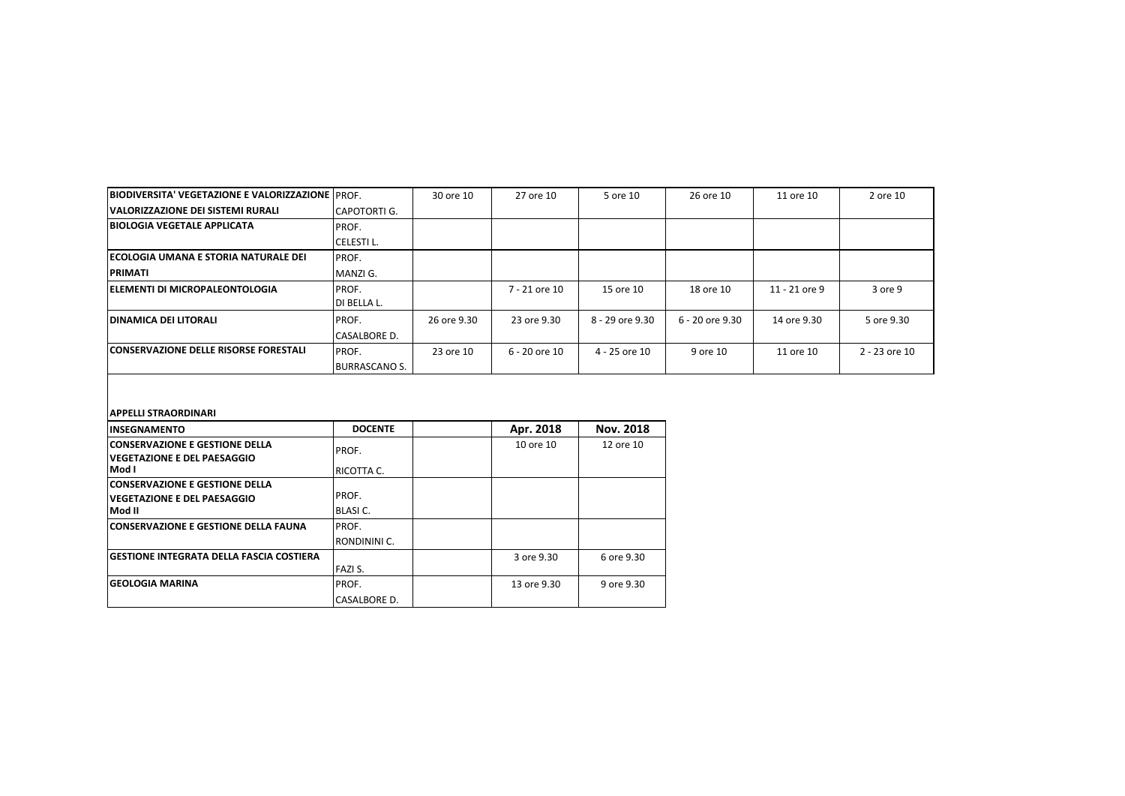| <b>BIODIVERSITA' VEGETAZIONE E VALORIZZAZIONE IPROF.</b> |                      | 30 ore 10   | 27 ore 10     | 5 ore 10        | 26 ore 10       | 11 ore 10     | 2 ore 10      |
|----------------------------------------------------------|----------------------|-------------|---------------|-----------------|-----------------|---------------|---------------|
| <b>VALORIZZAZIONE DEI SISTEMI RURALI</b>                 | CAPOTORTI G.         |             |               |                 |                 |               |               |
| <b>BIOLOGIA VEGETALE APPLICATA</b>                       | PROF.                |             |               |                 |                 |               |               |
|                                                          | CELESTI L.           |             |               |                 |                 |               |               |
| <b>IECOLOGIA UMANA E STORIA NATURALE DEI</b>             | PROF.                |             |               |                 |                 |               |               |
| <b>PRIMATI</b>                                           | MANZI G.             |             |               |                 |                 |               |               |
| <b>ELEMENTI DI MICROPALEONTOLOGIA</b>                    | <b>PROF.</b>         |             | 7 - 21 ore 10 | 15 ore 10       | 18 ore 10       | 11 - 21 ore 9 | 3 ore 9       |
|                                                          | DI BELLA L.          |             |               |                 |                 |               |               |
| <b>IDINAMICA DEI LITORALI</b>                            | <b>IPROF.</b>        | 26 ore 9.30 | 23 ore 9.30   | 8 - 29 ore 9.30 | 6 - 20 ore 9.30 | 14 ore 9.30   | 5 ore 9.30    |
|                                                          | <b>CASALBORE D.</b>  |             |               |                 |                 |               |               |
| <b>CONSERVAZIONE DELLE RISORSE FORESTALI</b>             | PROF.                | 23 ore 10   | 6 - 20 ore 10 | 4 - 25 ore 10   | 9 ore 10        | 11 ore 10     | 2 - 23 ore 10 |
|                                                          | <b>BURRASCANO S.</b> |             |               |                 |                 |               |               |

## **APPELLI STRAORDINARI**

| <b>INSEGNAMENTO</b>                             | <b>DOCENTE</b> | Apr. 2018   | <b>Nov. 2018</b> |
|-------------------------------------------------|----------------|-------------|------------------|
| <b>CONSERVAZIONE E GESTIONE DELLA</b>           | PROF.          | 10 ore 10   | 12 ore 10        |
| <b>IVEGETAZIONE E DEL PAESAGGIO</b>             |                |             |                  |
| Mod I                                           | RICOTTA C.     |             |                  |
| <b>CONSERVAZIONE E GESTIONE DELLA</b>           |                |             |                  |
| <b>IVEGETAZIONE E DEL PAESAGGIO</b>             | PROF.          |             |                  |
| Mod II                                          | BLASI C.       |             |                  |
| <b>CONSERVAZIONE E GESTIONE DELLA FAUNA</b>     | PROF.          |             |                  |
|                                                 | RONDININI C.   |             |                  |
| <b>GESTIONE INTEGRATA DELLA FASCIA COSTIERA</b> |                | 3 ore 9.30  | 6 ore 9.30       |
|                                                 | FAZI S.        |             |                  |
| <b>GEOLOGIA MARINA</b>                          | PROF.          | 13 ore 9.30 | 9 ore 9.30       |
|                                                 | CASALBORE D.   |             |                  |